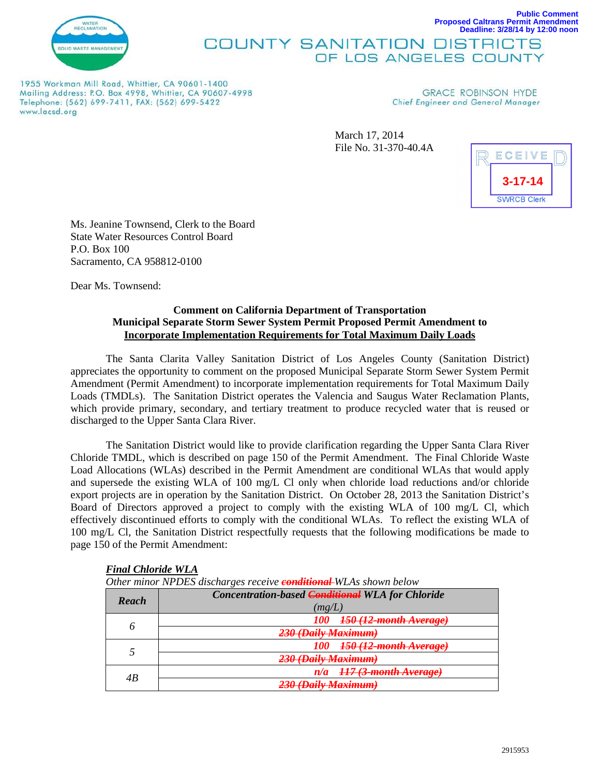

## **Proposed Caltrans Permit Amendment Deadline: 3/28/14 by 12:00 noon COUNTY SANITATION DISTRICTS** OF LOS ANGELES COUNTY

1955 Workman Mill Road, Whittier, CA 90601-1400 Mailing Address: P.O. Box 4998, Whittier, CA 90607-4998 Telephone: (562) 699-7411, FAX: (562) 699-5422 www.lacsd.org

**GRACE ROBINSON HYDE** Chief Engineer and General Manager

March 17, 2014 File No. 31-370-40.4A



**Public Comment**

Ms. Jeanine Townsend, Clerk to the Board State Water Resources Control Board P.O. Box 100 Sacramento, CA 958812-0100

Dear Ms. Townsend:

## **Comment on California Department of Transportation Municipal Separate Storm Sewer System Permit Proposed Permit Amendment to Incorporate Implementation Requirements for Total Maximum Daily Loads**

The Santa Clarita Valley Sanitation District of Los Angeles County (Sanitation District) appreciates the opportunity to comment on the proposed Municipal Separate Storm Sewer System Permit Amendment (Permit Amendment) to incorporate implementation requirements for Total Maximum Daily Loads (TMDLs). The Sanitation District operates the Valencia and Saugus Water Reclamation Plants, which provide primary, secondary, and tertiary treatment to produce recycled water that is reused or discharged to the Upper Santa Clara River.

The Sanitation District would like to provide clarification regarding the Upper Santa Clara River Chloride TMDL, which is described on page 150 of the Permit Amendment. The Final Chloride Waste Load Allocations (WLAs) described in the Permit Amendment are conditional WLAs that would apply and supersede the existing WLA of 100 mg/L Cl only when chloride load reductions and/or chloride export projects are in operation by the Sanitation District. On October 28, 2013 the Sanitation District's Board of Directors approved a project to comply with the existing WLA of 100 mg/L Cl, which effectively discontinued efforts to comply with the conditional WLAs. To reflect the existing WLA of 100 mg/L Cl, the Sanitation District respectfully requests that the following modifications be made to page 150 of the Permit Amendment:

| Other minor NPDES discharges receive <b>conditional</b> WLAs shown below |                                                                              |
|--------------------------------------------------------------------------|------------------------------------------------------------------------------|
| <b>Reach</b>                                                             | <b>Concentration-based <del>Conditional</del> WLA</b> for Chloride<br>(mg/L) |
|                                                                          | <del>150 (12-month Average)</del>                                            |
|                                                                          | 230 (Daily Maximum)                                                          |
|                                                                          | 150 (12-month Average)                                                       |
|                                                                          | 230 (Daily Maximum)                                                          |
| 4B                                                                       | <del>117 (3-month Average)</del>                                             |
|                                                                          | 230 (Daily Maximum)                                                          |

#### *Final Chloride WLA*